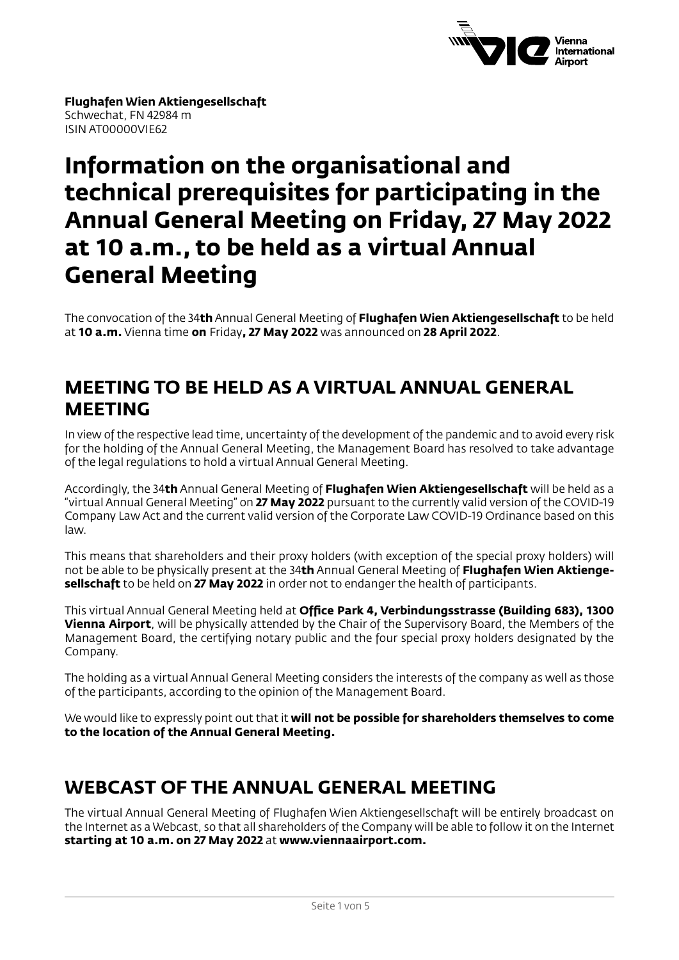

**Flughafen Wien Aktiengesellschaft** Schwechat, FN 42984 m ISIN AT00000VIE62

# **Information on the organisational and technical prerequisites for participating in the Annual General Meeting on Friday, 27 May 2022 at 10 a.m., to be held as a virtual Annual General Meeting**

The convocation of the 34**th** Annual General Meeting of **Flughafen Wien Aktiengesellschaft** to be held at **10 a.m.** Vienna time **on** Friday**, 27 May 2022** was announced on **28 April 2022**.

#### **MEETING TO BE HELD AS A VIRTUAL ANNUAL GENERAL MEETING**

In view of the respective lead time, uncertainty of the development of the pandemic and to avoid every risk for the holding of the Annual General Meeting, the Management Board has resolved to take advantage of the legal regulations to hold a virtual Annual General Meeting.

Accordingly, the 34**th** Annual General Meeting of **Flughafen Wien Aktiengesellschaft** will be held as a "virtual Annual General Meeting" on **27 May 2022** pursuant to the currently valid version of the COVID-19 Company Law Act and the current valid version of the Corporate Law COVID-19 Ordinance based on this law.

This means that shareholders and their proxy holders (with exception of the special proxy holders) will not be able to be physically present at the 34**th** Annual General Meeting of **Flughafen Wien Aktiengesellschaft** to be held on **27 May 2022** in order not to endanger the health of participants.

This virtual Annual General Meeting held at **Office Park 4, Verbindungsstrasse (Building 683), 1300 Vienna Airport**, will be physically attended by the Chair of the Supervisory Board, the Members of the Management Board, the certifying notary public and the four special proxy holders designated by the Company.

The holding as a virtual Annual General Meeting considers the interests of the company as well as those of the participants, according to the opinion of the Management Board.

We would like to expressly point out that it **will not be possible for shareholders themselves to come to the location of the Annual General Meeting.**

# **WEBCAST OF THE ANNUAL GENERAL MEETING**

The virtual Annual General Meeting of Flughafen Wien Aktiengesellschaft will be entirely broadcast on the Internet as a Webcast, so that all shareholders of the Company will be able to follow it on the Internet **starting at 10 a.m. on 27 May 2022** at **www.viennaairport.com.**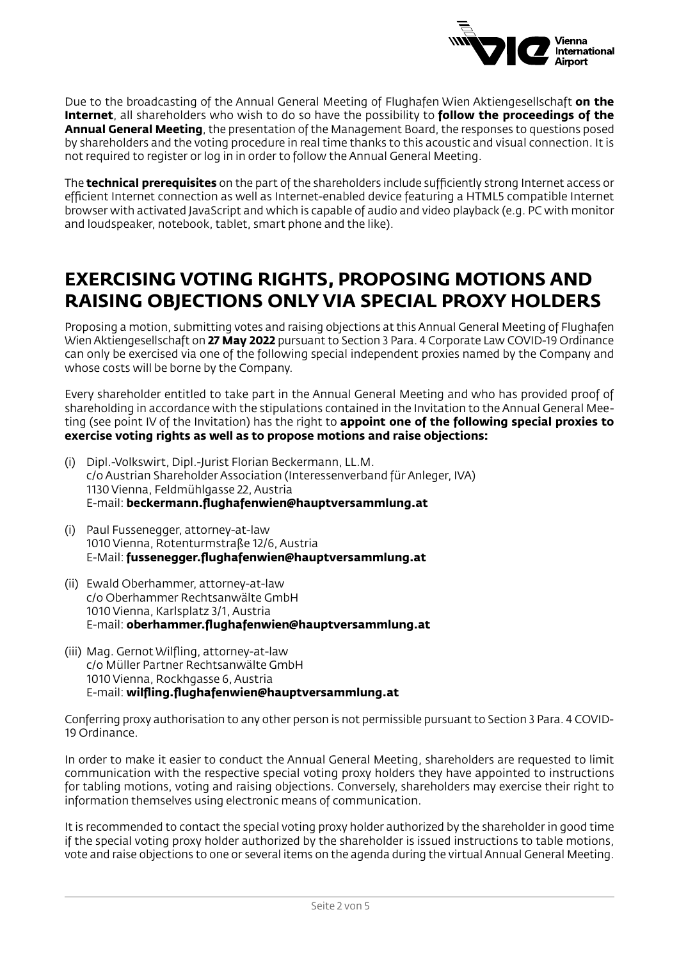

Due to the broadcasting of the Annual General Meeting of Flughafen Wien Aktiengesellschaft **on the Internet**, all shareholders who wish to do so have the possibility to **follow the proceedings of the Annual General Meeting**, the presentation of the Management Board, the responses to questions posed by shareholders and the voting procedure in real time thanks to this acoustic and visual connection. It is not required to register or log in in order to follow the Annual General Meeting.

The **technical prerequisites** on the part of the shareholders include sufficiently strong Internet access or efficient Internet connection as well as Internet-enabled device featuring a HTML5 compatible Internet browser with activated JavaScript and which is capable of audio and video playback (e.g. PC with monitor and loudspeaker, notebook, tablet, smart phone and the like).

## **EXERCISING VOTING RIGHTS, PROPOSING MOTIONS AND RAISING OBJECTIONS ONLY VIA SPECIAL PROXY HOLDERS**

Proposing a motion, submitting votes and raising objections at this Annual General Meeting of Flughafen Wien Aktiengesellschaft on **27 May 2022** pursuant to Section 3 Para. 4 Corporate Law COVID-19 Ordinance can only be exercised via one of the following special independent proxies named by the Company and whose costs will be borne by the Company.

Every shareholder entitled to take part in the Annual General Meeting and who has provided proof of shareholding in accordance with the stipulations contained in the Invitation to the Annual General Meeting (see point IV of the Invitation) has the right to **appoint one of the following special proxies to exercise voting rights as well as to propose motions and raise objections:**

- (i) Dipl.-Volkswirt, Dipl.-Jurist Florian Beckermann, LL.M. c/o Austrian Shareholder Association (Interessenverband für Anleger, IVA) 1130 Vienna, Feldmühlgasse 22, Austria E-mail: **beckermann.flughafenwien@hauptversammlung.at**
- (i) Paul Fussenegger, attorney-at-law 1010 Vienna, Rotenturmstraße 12/6, Austria E-Mail: **fussenegger.flughafenwien@hauptversammlung.at**
- (ii) Ewald Oberhammer, attorney-at-law c/o Oberhammer Rechtsanwälte GmbH 1010 Vienna, Karlsplatz 3/1, Austria E-mail: **oberhammer.flughafenwien@hauptversammlung.at**
- (iii) Mag. Gernot Wilfling, attorney-at-law c/o Müller Partner Rechtsanwälte GmbH 1010 Vienna, Rockhgasse 6, Austria E-mail: **wilfling.flughafenwien@hauptversammlung.at**

Conferring proxy authorisation to any other person is not permissible pursuant to Section 3 Para. 4 COVID-19 Ordinance.

In order to make it easier to conduct the Annual General Meeting, shareholders are requested to limit communication with the respective special voting proxy holders they have appointed to instructions for tabling motions, voting and raising objections. Conversely, shareholders may exercise their right to information themselves using electronic means of communication.

It is recommended to contact the special voting proxy holder authorized by the shareholder in good time if the special voting proxy holder authorized by the shareholder is issued instructions to table motions, vote and raise objections to one or several items on the agenda during the virtual Annual General Meeting.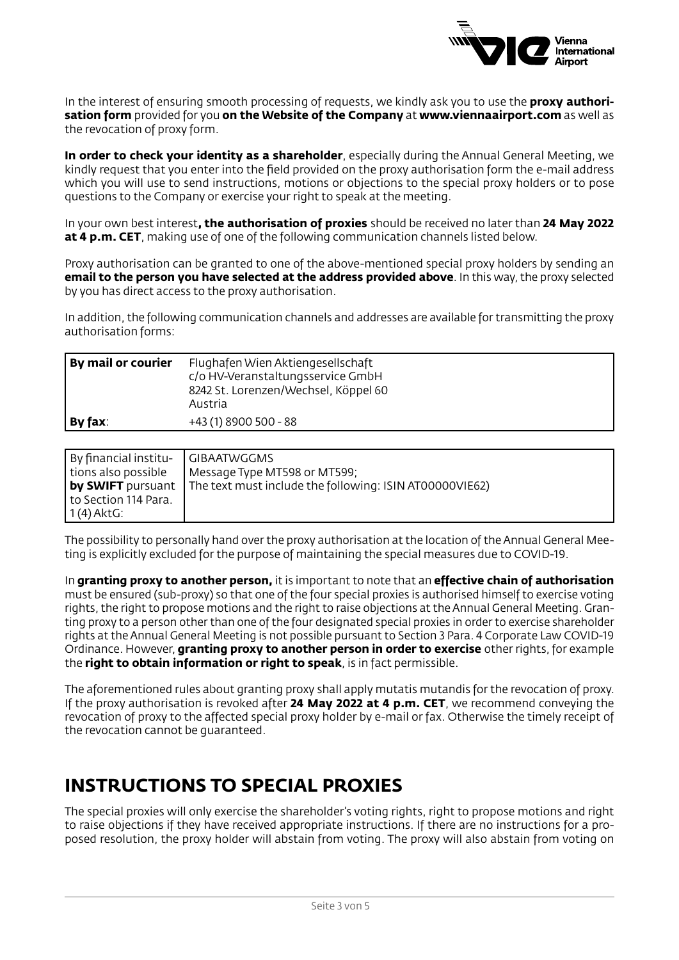

In the interest of ensuring smooth processing of requests, we kindly ask you to use the **proxy authorisation form** provided for you **on the Website of the Company** at **www.viennaairport.com** as well as the revocation of proxy form.

**In order to check your identity as a shareholder**, especially during the Annual General Meeting, we kindly request that you enter into the field provided on the proxy authorisation form the e-mail address which you will use to send instructions, motions or objections to the special proxy holders or to pose questions to the Company or exercise your right to speak at the meeting.

In your own best interest**, the authorisation of proxies** should be received no later than **24 May 2022 at 4 p.m. CET**, making use of one of the following communication channels listed below.

Proxy authorisation can be granted to one of the above-mentioned special proxy holders by sending an **email to the person you have selected at the address provided above**. In this way, the proxy selected by you has direct access to the proxy authorisation.

In addition, the following communication channels and addresses are available for transmitting the proxy authorisation forms:

| By mail or courier | Flughafen Wien Aktiengesellschaft<br>c/o HV-Veranstaltungsservice GmbH<br>8242 St. Lorenzen/Wechsel, Köppel 60<br>Austria |
|--------------------|---------------------------------------------------------------------------------------------------------------------------|
| By fax:            | +43 (1) 8900 500 - 88                                                                                                     |

| By financial institu-                 | GIBAATWGGMS                                                                      |
|---------------------------------------|----------------------------------------------------------------------------------|
| tions also possible                   | Message Type MT598 or MT599;                                                     |
| to Section 114 Para.<br>  1 (4) AktG: | <b>by SWIFT</b> pursuant The text must include the following: ISIN AT00000VIE62) |

The possibility to personally hand over the proxy authorisation at the location of the Annual General Meeting is explicitly excluded for the purpose of maintaining the special measures due to COVID-19.

In **granting proxy to another person,** it is important to note that an **effective chain of authorisation** must be ensured (sub-proxy) so that one of the four special proxies is authorised himself to exercise voting rights, the right to propose motions and the right to raise objections at the Annual General Meeting. Granting proxy to a person other than one of the four designated special proxies in order to exercise shareholder rights at the Annual General Meeting is not possible pursuant to Section 3 Para. 4 Corporate Law COVID-19 Ordinance. However, **granting proxy to another person in order to exercise** other rights, for example the **right to obtain information or right to speak**, is in fact permissible.

The aforementioned rules about granting proxy shall apply mutatis mutandis for the revocation of proxy. If the proxy authorisation is revoked after **24 May 2022 at 4 p.m. CET**, we recommend conveying the revocation of proxy to the affected special proxy holder by e-mail or fax. Otherwise the timely receipt of the revocation cannot be guaranteed.

## **INSTRUCTIONS TO SPECIAL PROXIES**

The special proxies will only exercise the shareholder's voting rights, right to propose motions and right to raise objections if they have received appropriate instructions. If there are no instructions for a proposed resolution, the proxy holder will abstain from voting. The proxy will also abstain from voting on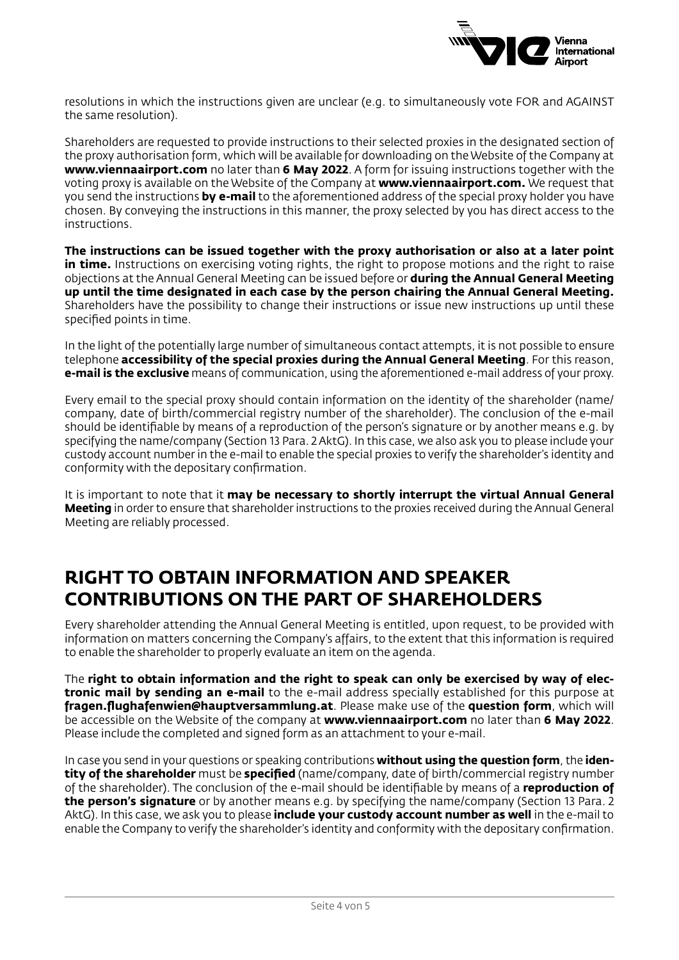

resolutions in which the instructions given are unclear (e.g. to simultaneously vote FOR and AGAINST the same resolution).

Shareholders are requested to provide instructions to their selected proxies in the designated section of the proxy authorisation form, which will be available for downloading on the Website of the Company at **www.viennaairport.com** no later than **6 May 2022**. A form for issuing instructions together with the voting proxy is available on the Website of the Company at **www.viennaairport.com.** We request that you send the instructions **by e-mail** to the aforementioned address of the special proxy holder you have chosen. By conveying the instructions in this manner, the proxy selected by you has direct access to the instructions.

**The instructions can be issued together with the proxy authorisation or also at a later point**  in time. Instructions on exercising voting rights, the right to propose motions and the right to raise objections at the Annual General Meeting can be issued before or **during the Annual General Meeting up until the time designated in each case by the person chairing the Annual General Meeting.** Shareholders have the possibility to change their instructions or issue new instructions up until these specified points in time.

In the light of the potentially large number of simultaneous contact attempts, it is not possible to ensure telephone **accessibility of the special proxies during the Annual General Meeting**. For this reason, **e-mail is the exclusive** means of communication, using the aforementioned e-mail address of your proxy.

Every email to the special proxy should contain information on the identity of the shareholder (name/ company, date of birth/commercial registry number of the shareholder). The conclusion of the e-mail should be identifiable by means of a reproduction of the person's signature or by another means e.g. by specifying the name/company (Section 13 Para. 2 AktG). In this case, we also ask you to please include your custody account number in the e-mail to enable the special proxies to verify the shareholder's identity and conformity with the depositary confirmation.

It is important to note that it **may be necessary to shortly interrupt the virtual Annual General Meeting** in order to ensure that shareholder instructions to the proxies received during the Annual General Meeting are reliably processed.

#### **RIGHT TO OBTAIN INFORMATION AND SPEAKER CONTRIBUTIONS ON THE PART OF SHAREHOLDERS**

Every shareholder attending the Annual General Meeting is entitled, upon request, to be provided with information on matters concerning the Company's affairs, to the extent that this information is required to enable the shareholder to properly evaluate an item on the agenda.

The **right to obtain information and the right to speak can only be exercised by way of electronic mail by sending an e-mail** to the e-mail address specially established for this purpose at **fragen.flughafenwien@hauptversammlung.at**. Please make use of the **question form**, which will be accessible on the Website of the company at **www.viennaairport.com** no later than **6 May 2022**. Please include the completed and signed form as an attachment to your e-mail.

In case you send in your questions or speaking contributions **without using the question form**, the **identity of the shareholder** must be **specified** (name/company, date of birth/commercial registry number of the shareholder). The conclusion of the e-mail should be identifiable by means of a **reproduction of the person's signature** or by another means e.g. by specifying the name/company (Section 13 Para. 2 AktG). In this case, we ask you to please **include your custody account number as well** in the e-mail to enable the Company to verify the shareholder's identity and conformity with the depositary confirmation.